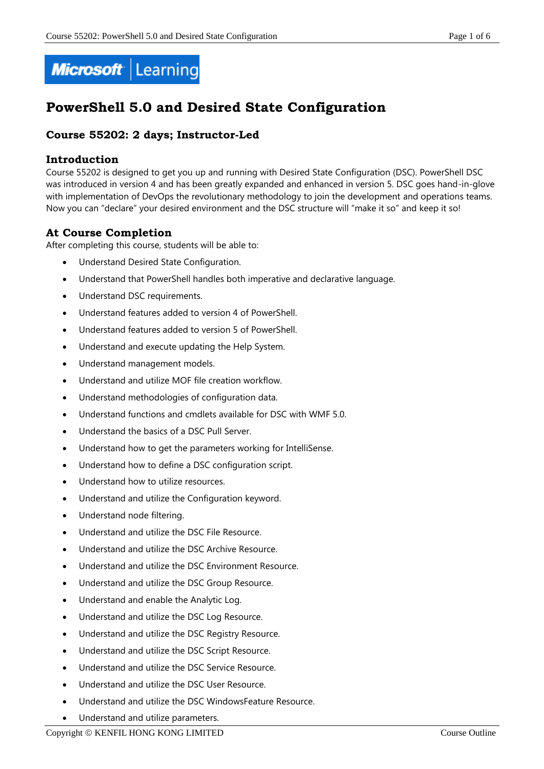

# **PowerShell 5.0 and Desired State Configuration**

## **Course 55202: 2 days; Instructor-Led**

## **Introduction**

Course 55202 is designed to get you up and running with Desired State Configuration (DSC). PowerShell DSC was introduced in version 4 and has been greatly expanded and enhanced in version 5. DSC goes hand-in-glove with implementation of DevOps the revolutionary methodology to join the development and operations teams. Now you can "declare" your desired environment and the DSC structure will "make it so" and keep it so!

## **At Course Completion**

After completing this course, students will be able to:

- Understand Desired State Configuration.
- Understand that PowerShell handles both imperative and declarative language.
- Understand DSC requirements.
- Understand features added to version 4 of PowerShell.
- Understand features added to version 5 of PowerShell.
- Understand and execute updating the Help System.
- Understand management models.
- Understand and utilize MOF file creation workflow.
- Understand methodologies of configuration data.
- Understand functions and cmdlets available for DSC with WMF 5.0.
- Understand the basics of a DSC Pull Server.
- Understand how to get the parameters working for IntelliSense.
- Understand how to define a DSC configuration script.
- Understand how to utilize resources.
- Understand and utilize the Configuration keyword.
- Understand node filtering.
- Understand and utilize the DSC File Resource.
- Understand and utilize the DSC Archive Resource.
- Understand and utilize the DSC Environment Resource.
- Understand and utilize the DSC Group Resource.
- Understand and enable the Analytic Log.
- Understand and utilize the DSC Log Resource.
- Understand and utilize the DSC Registry Resource.
- Understand and utilize the DSC Script Resource.
- Understand and utilize the DSC Service Resource.
- Understand and utilize the DSC User Resource.
- Understand and utilize the DSC WindowsFeature Resource.
- Understand and utilize parameters.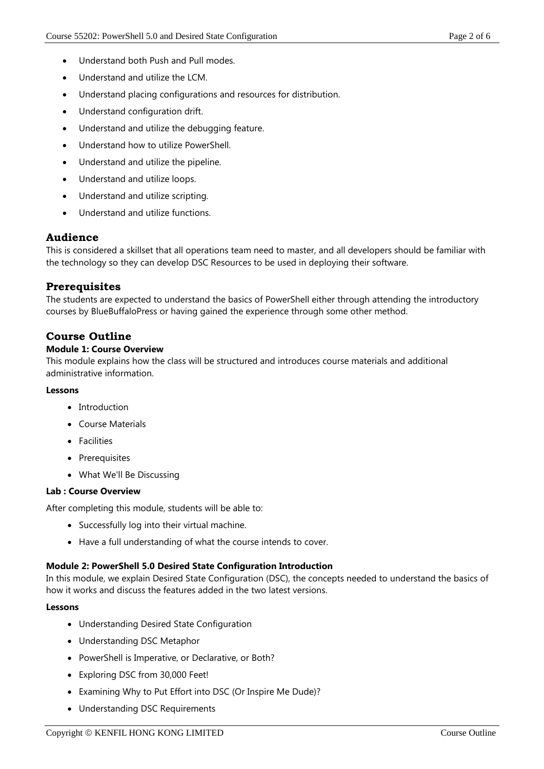- Understand both Push and Pull modes.
- Understand and utilize the LCM.
- Understand placing configurations and resources for distribution.
- Understand configuration drift.
- Understand and utilize the debugging feature.
- Understand how to utilize PowerShell.
- Understand and utilize the pipeline.
- Understand and utilize loops.
- Understand and utilize scripting.
- Understand and utilize functions.

## **Audience**

This is considered a skillset that all operations team need to master, and all developers should be familiar with the technology so they can develop DSC Resources to be used in deploying their software.

## **Prerequisites**

The students are expected to understand the basics of PowerShell either through attending the introductory courses by BlueBuffaloPress or having gained the experience through some other method.

## **Course Outline**

## **Module 1: Course Overview**

This module explains how the class will be structured and introduces course materials and additional administrative information.

## **Lessons**

- Introduction
- Course Materials
- Facilities
- Prerequisites
- What We'll Be Discussing

## **Lab : Course Overview**

After completing this module, students will be able to:

- Successfully log into their virtual machine.
- Have a full understanding of what the course intends to cover.

## **Module 2: PowerShell 5.0 Desired State Configuration Introduction**

In this module, we explain Desired State Configuration (DSC), the concepts needed to understand the basics of how it works and discuss the features added in the two latest versions.

## **Lessons**

- Understanding Desired State Configuration
- Understanding DSC Metaphor
- PowerShell is Imperative, or Declarative, or Both?
- Exploring DSC from 30,000 Feet!
- Examining Why to Put Effort into DSC (Or Inspire Me Dude)?
- Understanding DSC Requirements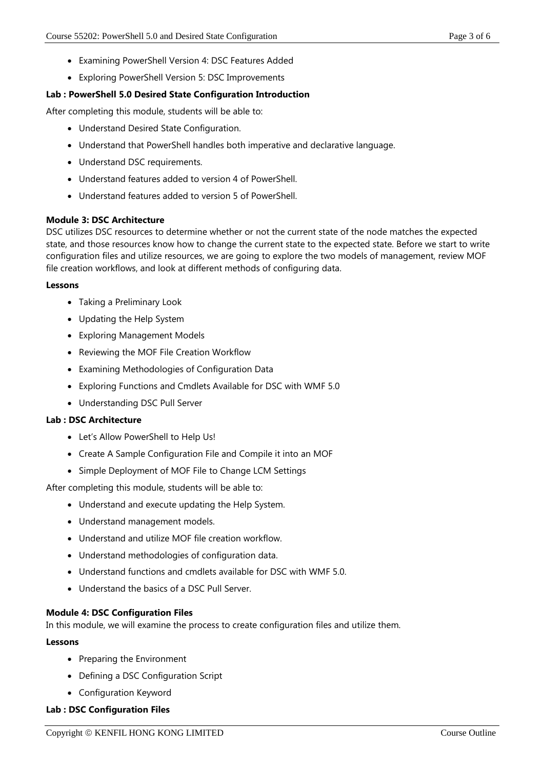- Examining PowerShell Version 4: DSC Features Added
- Exploring PowerShell Version 5: DSC Improvements

### **Lab : PowerShell 5.0 Desired State Configuration Introduction**

After completing this module, students will be able to:

- Understand Desired State Configuration.
- Understand that PowerShell handles both imperative and declarative language.
- Understand DSC requirements.
- Understand features added to version 4 of PowerShell.
- Understand features added to version 5 of PowerShell.

#### **Module 3: DSC Architecture**

DSC utilizes DSC resources to determine whether or not the current state of the node matches the expected state, and those resources know how to change the current state to the expected state. Before we start to write configuration files and utilize resources, we are going to explore the two models of management, review MOF file creation workflows, and look at different methods of configuring data.

#### **Lessons**

- Taking a Preliminary Look
- Updating the Help System
- Exploring Management Models
- Reviewing the MOF File Creation Workflow
- Examining Methodologies of Configuration Data
- Exploring Functions and Cmdlets Available for DSC with WMF 5.0
- Understanding DSC Pull Server

#### **Lab : DSC Architecture**

- Let's Allow PowerShell to Help Us!
- Create A Sample Configuration File and Compile it into an MOF
- Simple Deployment of MOF File to Change LCM Settings

After completing this module, students will be able to:

- Understand and execute updating the Help System.
- Understand management models.
- Understand and utilize MOF file creation workflow.
- Understand methodologies of configuration data.
- Understand functions and cmdlets available for DSC with WMF 5.0.
- Understand the basics of a DSC Pull Server.

#### **Module 4: DSC Configuration Files**

In this module, we will examine the process to create configuration files and utilize them.

#### **Lessons**

- Preparing the Environment
- Defining a DSC Configuration Script
- Configuration Keyword

## **Lab : DSC Configuration Files**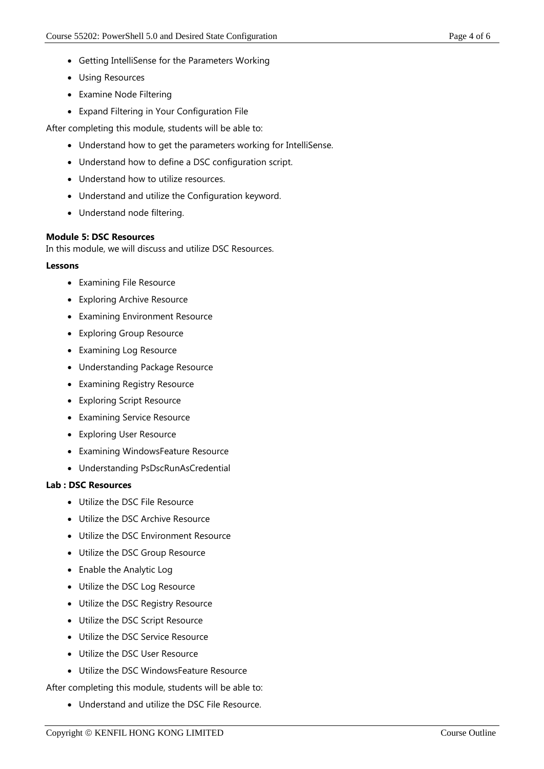- Getting IntelliSense for the Parameters Working
- Using Resources
- Examine Node Filtering
- Expand Filtering in Your Configuration File

After completing this module, students will be able to:

- Understand how to get the parameters working for IntelliSense.
- Understand how to define a DSC configuration script.
- Understand how to utilize resources.
- Understand and utilize the Configuration keyword.
- Understand node filtering.

## **Module 5: DSC Resources**

In this module, we will discuss and utilize DSC Resources.

## **Lessons**

- Examining File Resource
- Exploring Archive Resource
- Examining Environment Resource
- Exploring Group Resource
- Examining Log Resource
- Understanding Package Resource
- Examining Registry Resource
- Exploring Script Resource
- Examining Service Resource
- Exploring User Resource
- Examining WindowsFeature Resource
- Understanding PsDscRunAsCredential

## **Lab : DSC Resources**

- Utilize the DSC File Resource
- Utilize the DSC Archive Resource
- Utilize the DSC Environment Resource
- Utilize the DSC Group Resource
- Enable the Analytic Log
- Utilize the DSC Log Resource
- Utilize the DSC Registry Resource
- Utilize the DSC Script Resource
- Utilize the DSC Service Resource
- Utilize the DSC User Resource
- Utilize the DSC WindowsFeature Resource

After completing this module, students will be able to:

Understand and utilize the DSC File Resource.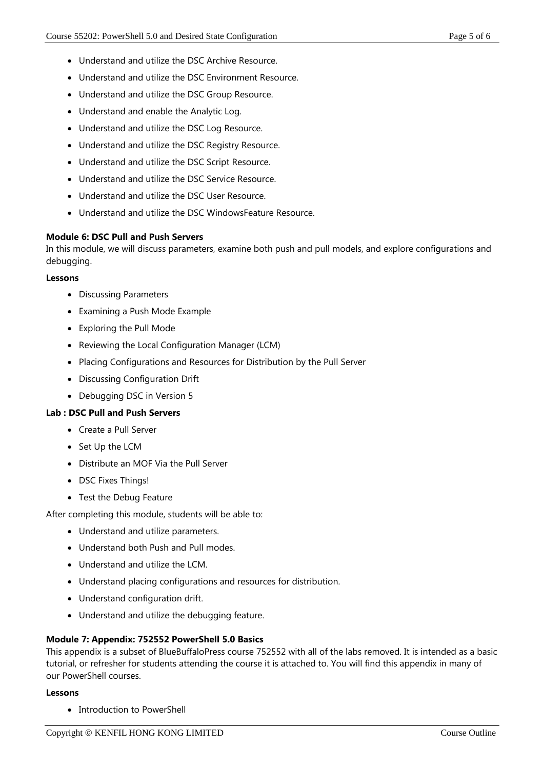- Understand and utilize the DSC Archive Resource.
- Understand and utilize the DSC Environment Resource.
- Understand and utilize the DSC Group Resource.
- Understand and enable the Analytic Log.
- Understand and utilize the DSC Log Resource.
- Understand and utilize the DSC Registry Resource.
- Understand and utilize the DSC Script Resource.
- Understand and utilize the DSC Service Resource.
- Understand and utilize the DSC User Resource.
- Understand and utilize the DSC WindowsFeature Resource.

## **Module 6: DSC Pull and Push Servers**

In this module, we will discuss parameters, examine both push and pull models, and explore configurations and debugging.

#### **Lessons**

- Discussing Parameters
- Examining a Push Mode Example
- Exploring the Pull Mode
- Reviewing the Local Configuration Manager (LCM)
- Placing Configurations and Resources for Distribution by the Pull Server
- Discussing Configuration Drift
- Debugging DSC in Version 5

## **Lab : DSC Pull and Push Servers**

- Create a Pull Server
- Set Up the LCM
- Distribute an MOF Via the Pull Server
- DSC Fixes Things!
- Test the Debug Feature

After completing this module, students will be able to:

- Understand and utilize parameters.
- Understand both Push and Pull modes.
- Understand and utilize the LCM.
- Understand placing configurations and resources for distribution.
- Understand configuration drift.
- Understand and utilize the debugging feature.

## **Module 7: Appendix: 752552 PowerShell 5.0 Basics**

This appendix is a subset of BlueBuffaloPress course 752552 with all of the labs removed. It is intended as a basic tutorial, or refresher for students attending the course it is attached to. You will find this appendix in many of our PowerShell courses.

## **Lessons**

• Introduction to PowerShell